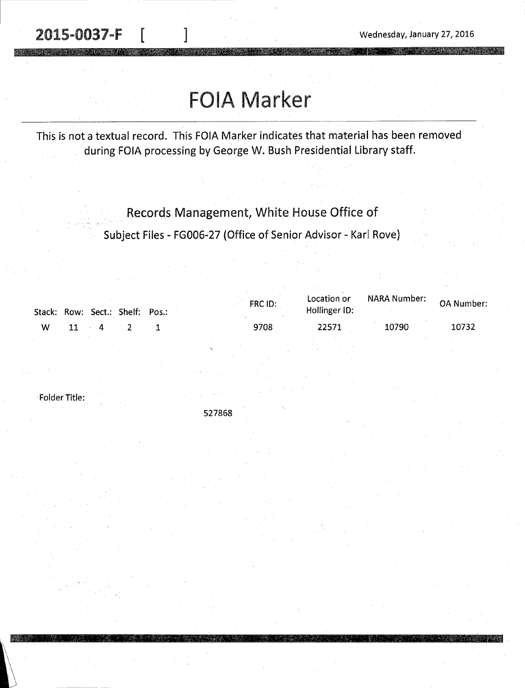2015-0037-F [ ] 2015-0037-F [ ]

# FOIA Marker

This is not a textual record. This FOIA Marker indicates that material has been removed during FOIA processing by George W. Bush Presidential Library staff.

Records Management, White House Office of

Subject Files - FG006-27 (Office of Senior Advisor - Karl Rove)

|   |    |                                  | Stack: Row: Sect.: Shelf: Pos.: |  | FRC ID: | Location or<br>Hollinger ID: | NARA Number: | <b>OA Number:</b> |
|---|----|----------------------------------|---------------------------------|--|---------|------------------------------|--------------|-------------------|
| w | 11 | $\mathbf 4$<br><b>Contractor</b> |                                 |  | 9708    | 22571                        | 10790        | 10732             |
|   |    |                                  |                                 |  |         |                              |              |                   |

Folder Title:

527868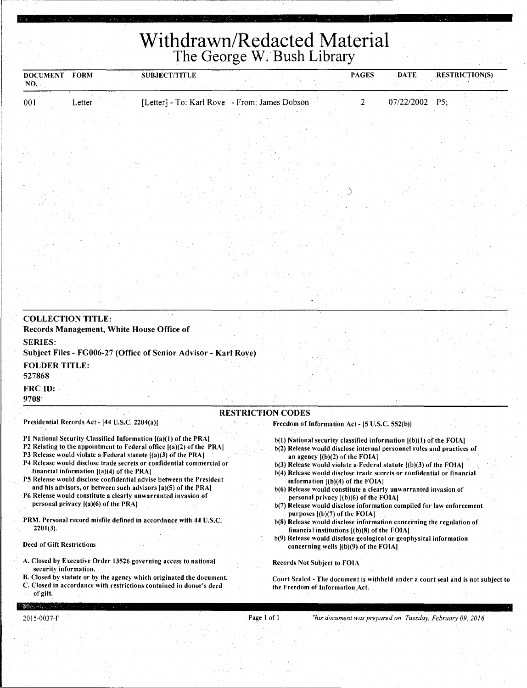## **Withdrawn/Redacted Material**  The George W. Bush Library

| <b>DOCUMENT</b>                | <b>FORM</b>                                    | <b>SUBJECT/TITLE</b>                                                                                                                    | $\sim$ | $\cdots$ $\cdots$ $\cdots$ $\cdots$ $\cdots$ $\cdots$                  | <b>PAGES</b>                                  | <b>DATE</b> | <b>RESTRICTION(S)</b>                                                |  |
|--------------------------------|------------------------------------------------|-----------------------------------------------------------------------------------------------------------------------------------------|--------|------------------------------------------------------------------------|-----------------------------------------------|-------------|----------------------------------------------------------------------|--|
| NO.                            |                                                |                                                                                                                                         |        |                                                                        |                                               |             |                                                                      |  |
| 001                            | Letter                                         | [Letter] - To: Karl Rove - From: James Dobson                                                                                           |        |                                                                        | 2                                             | 07/22/2002  | P5;                                                                  |  |
|                                |                                                |                                                                                                                                         |        |                                                                        |                                               |             |                                                                      |  |
|                                |                                                |                                                                                                                                         |        |                                                                        |                                               |             |                                                                      |  |
|                                |                                                |                                                                                                                                         |        |                                                                        |                                               |             |                                                                      |  |
|                                |                                                |                                                                                                                                         |        |                                                                        |                                               |             |                                                                      |  |
|                                |                                                |                                                                                                                                         |        |                                                                        |                                               |             |                                                                      |  |
|                                |                                                |                                                                                                                                         |        |                                                                        |                                               |             |                                                                      |  |
|                                |                                                |                                                                                                                                         |        |                                                                        |                                               |             |                                                                      |  |
|                                |                                                |                                                                                                                                         |        |                                                                        |                                               |             |                                                                      |  |
|                                |                                                |                                                                                                                                         |        |                                                                        |                                               |             |                                                                      |  |
|                                |                                                |                                                                                                                                         |        |                                                                        |                                               |             |                                                                      |  |
|                                |                                                |                                                                                                                                         |        |                                                                        |                                               |             |                                                                      |  |
|                                |                                                |                                                                                                                                         |        |                                                                        |                                               |             |                                                                      |  |
|                                |                                                |                                                                                                                                         |        |                                                                        |                                               |             |                                                                      |  |
|                                |                                                |                                                                                                                                         |        |                                                                        |                                               |             |                                                                      |  |
|                                |                                                |                                                                                                                                         |        |                                                                        |                                               |             |                                                                      |  |
|                                |                                                |                                                                                                                                         |        |                                                                        |                                               |             |                                                                      |  |
|                                | <b>COLLECTION TITLE:</b>                       |                                                                                                                                         |        |                                                                        |                                               |             |                                                                      |  |
|                                | Records Management, White House Office of      |                                                                                                                                         |        |                                                                        |                                               |             |                                                                      |  |
| <b>SERIES:</b>                 |                                                |                                                                                                                                         |        |                                                                        |                                               |             |                                                                      |  |
|                                |                                                | Subject Files - FG006-27 (Office of Senior Advisor - Karl Rove)                                                                         |        |                                                                        |                                               |             |                                                                      |  |
| <b>FOLDER TITLE:</b><br>527868 |                                                |                                                                                                                                         |        |                                                                        |                                               |             |                                                                      |  |
| FRC ID:                        |                                                |                                                                                                                                         |        |                                                                        |                                               |             |                                                                      |  |
| 9708                           |                                                |                                                                                                                                         |        |                                                                        |                                               |             |                                                                      |  |
|                                |                                                |                                                                                                                                         |        | <b>RESTRICTION CODES</b>                                               |                                               |             |                                                                      |  |
|                                | Presidential Records Act - [44 U.S.C. 2204(a)] |                                                                                                                                         |        | Freedom of Information Act - [5 U.S.C. 552(b)]                         |                                               |             |                                                                      |  |
|                                |                                                | PI National Security Classified Information [(a)(1) of the PRA]                                                                         |        | $b(1)$ National security classified information $[(b)(1)$ of the FOIA] |                                               |             |                                                                      |  |
|                                |                                                | P2 Relating to the appointment to Federal office [(a)(2) of the PRA]                                                                    |        | b(2) Release would disclose internal personnel rules and practices of  |                                               |             |                                                                      |  |
|                                |                                                | P3 Release would violate a Federal statute {(a)(3) of the PRA]<br>P4 Release would disclose trade secrets or confidential commercial or |        | $b(3)$ Release would violate a Federal statute $(6)(3)$ of the FOIA    | an agency $[(b)(2)$ of the FOIA]              |             |                                                                      |  |
|                                | financial information $[(a)(4)$ of the PRA]    |                                                                                                                                         |        | b(4) Release would disclose trade secrets or confidential or financial |                                               |             |                                                                      |  |
|                                |                                                | P5 Release would disclose confidential advise between the President<br>and his advisors, or between such advisors [a](5) of the PRA]    |        | b(6) Release would constitute a clearly unwarranted invasion of        | information ((b)(4) of the FOIAl              |             |                                                                      |  |
|                                |                                                | P6 Release would constitute a clearly unwarranted invasion of                                                                           |        |                                                                        | personal privacy $(1)(6)$ of the FOIA]        |             |                                                                      |  |
|                                | personal privacy [(a)(6) of the PRA]           |                                                                                                                                         |        |                                                                        | purposes $[(b)(7)$ of the FOIA]               |             | b(7) Release would disclose information compiled for law enforcement |  |
|                                |                                                | PRM. Personal record misfile defined in accordance with 44 U.S.C.                                                                       |        | b(8) Release would disclose information concerning the regulation of   |                                               |             |                                                                      |  |
| 2201(3).                       |                                                |                                                                                                                                         |        | b(9) Release would disclose geological or geophysical information      | financial institutions $[(b)(8)$ of the FOIA] |             |                                                                      |  |
| Deed of Gift Restrictions      |                                                |                                                                                                                                         |        |                                                                        | concerning wells $[(b)(9)$ of the FOIA]       |             |                                                                      |  |
|                                |                                                | A. Closed by Executive Order 13526 governing access to national                                                                         |        | <b>Records Not Subject to FOIA</b>                                     |                                               |             |                                                                      |  |

security information. B. Closed by statute or by the agency which originated the document.

C. Closed in accordance with restrictions contained in donor's deed of gift.

Court Sealed - The document is withheld under a court seal and is not subject to the Freedom of Information Act.

 $\mathcal{M}(\mathcal{L}_{\mathcal{M}}(\mathcal{L}_{\mathcal{M}}),\mathcal{L}_{\mathcal{M}}(\mathcal{L}_{\mathcal{M}}))$ 2015-003 7-F

Page I of I *rhis document was prepared on Tuesday, February 09, 2016*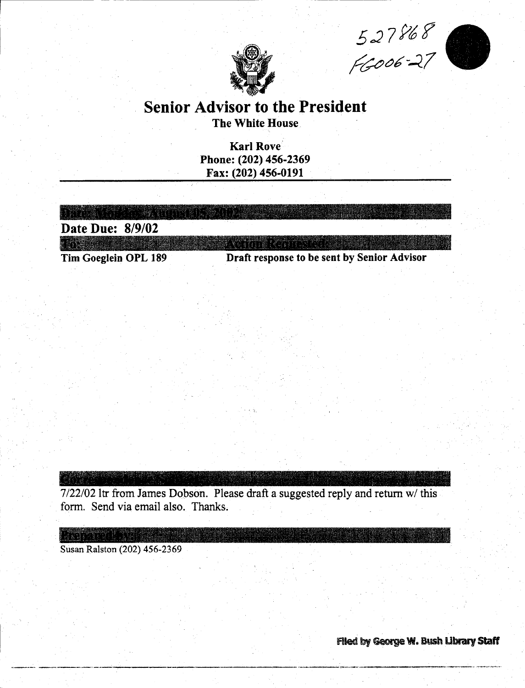$527868$ 



### Senior Advisor to the President The White House

Karl Rove Phone: (202) 456-2369 Fax: (202) 456-0191

| Tim Goeglein OPL 189 | Draft response to be sent by Senior Advisor |
|----------------------|---------------------------------------------|
|                      |                                             |
| Date Due: 8/9/02     |                                             |
|                      |                                             |
|                      |                                             |

7/22/02 ltr from James Dopson. Please draft a suggested reply and return w/ this form. Send via email also. Thanks.

Susan Ralston (202) 456-2369

RA BIGI

Filed by George W. Bush Library Staff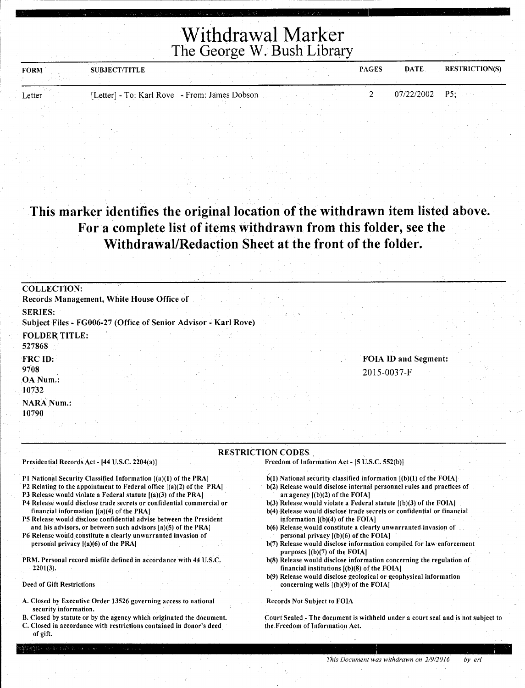Withdrawal Marker The George W. Bush Library

| <b>FORM</b> | SUBJECT/TITLE                                 |  | <b>PAGES</b> | DATE.            | <b>RESTRICTION(S)</b> |
|-------------|-----------------------------------------------|--|--------------|------------------|-----------------------|
|             |                                               |  |              |                  |                       |
| Letter      | [Letter] - To: Karl Rove - From: James Dobson |  |              | $07/22/2002$ P5; |                       |
|             |                                               |  |              |                  |                       |

#### This marker identifies the original location of the withdrawn item listed above. For a complete list of items withdrawn from this folder, see the Withdrawal/Redaction Sheet at the front of the folder.

| <b>COLLECTION:</b><br>Records Management, White House Office of                   |  |  |  |  |                                            |  |
|-----------------------------------------------------------------------------------|--|--|--|--|--------------------------------------------|--|
| <b>SERIES:</b><br>Subject Files - FG006-27 (Office of Senior Advisor - Karl Rove) |  |  |  |  |                                            |  |
| <b>FOLDER TITLE:</b><br>527868                                                    |  |  |  |  |                                            |  |
| <b>FRC ID:</b><br>9708<br>OA Num.:<br>10732                                       |  |  |  |  | <b>FOIA ID and Segment:</b><br>2015-0037-F |  |
| <b>NARA Num.:</b><br>10790                                                        |  |  |  |  |                                            |  |

RESTRICTION CODES .

Presidential Records Act - [44 U.S.C. 2204(a)]

Pl National Security Classified Information [(a)(l) of the PRAJ

P2 Relating to the appointment to Federal office [(a)(2) of the PRAJ

P3 Release would violate a Federal statute [(a)(3) of the PRAJ

- P4 Release would disclose trade secrets or confidential commercial or financial information [(a)(4) of the PRA]
- PS Release would disclose confidential advise between the President and his advisors, or between such advisors [a)(S) of the PRAJ

P6 Release would constitute a clearly unwarranted invasion of personal privacy [(a)(6) of the PRAJ

PRM. Personal record misfile defined in accordance with 44 U.S.C. 2201(3).

Deed of Gift Restrictions

- A. Closed by Executive Order 13526 governing access to national security information.
- B. Closed by statute or by the agency which originated the document.
- C. Closed in accordance with restrictions contained in donor's deed of gift.

Freedom of Information Act - [5 U.S.C. 552(b)J

- $b(1)$  National security classified information  $[(b)(1)$  of the FOIA]
- b(2) Release would disclose internal personnel rules and practices of an agency [(b)(2) of the FOIA]
- b(3) Release would violate a Federal statute  $[(b)(3)$  of the FOIA] b(4) Release would disclose trade secrets or confidential or financial information [(b)(4) of the FOIA)
- b(6) Release would constitute a clearly unwarranted invasion of personal privacy [(b)(6) of the FOIA)
- b(7) Release would disclose information compiled for law enforcement purposes [(b)(7) of the FOIA]
- b(8) Release would disclose information concerning the regulation of financial institutions [(b)(8) of the FOIAJ
- b(9) Release would disclose geological or geophysical information concerning wells [(b)(9) of the FOIA]

Records Not Subject to FOJA

Court Sealed - The document is withheld under a court seal and is not subject to the Freedom of Information Act.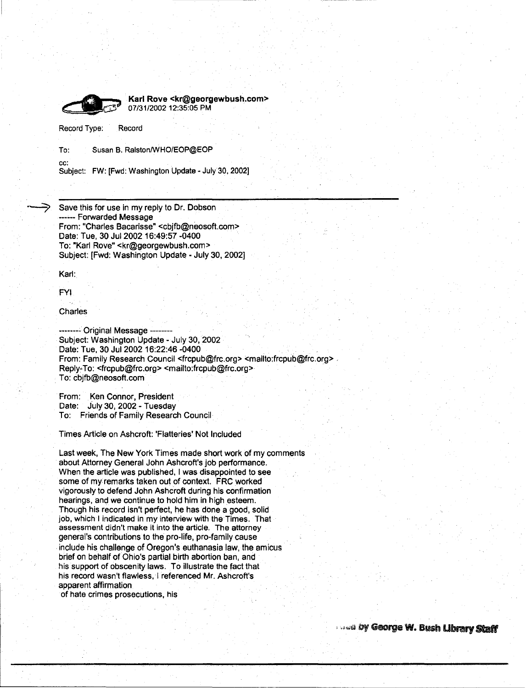

Karl Rove <kr@georgewbush.com> · Q 07/31/2002 12:35:05 PM

Record Type: Record

To: Susan B. Ralston/WHO/EOP@EOP

cc: Subject: FW: [Fwd: Washington Update - July 30, 2002]

Save this for use in my reply to Dr. Dobson ------ Forwarded Message From: "Charles Bacarisse" <cbjfb@neosoft.com> Date: Tue, 30 Jul 2002 16:49:57 -0400 To: "Karl Rove" <kr@georgewbush.com> Subject: [Fwd: Washington Update - July 30, 2002]

Karl:

FYI

Charles

-------- Original Message -------- Subject: Washington Update - July 30, 2002 Date: Tue, 30 Jul 2002 16:22:46 -0400 From: Family Research Council <frcpub@frc.org> <mailto:frcpub@frc.org> Reply-To: <frcpub@frc.org> <mailto:frcpub@frc.org> . To: cbjfb@neosoft.com

From: Ken Connor, President Date: July 30, 2002 - Tuesday To: Friends of Family Research Council

Times Article on Ashcroft: 'Flatteries' Not Included

Last week, The New York Times made short work of my comments about Attorney General John Ashcroft's job performance. When the article was published, I was disappointed to see some of my remarks taken out of context. FRC worked vigorously to defend John Ashcroft during his confirmation hearings, and we continue to hold him in high esteem. Though his record isn't perfect, he has done a good, solid job, which I indicated in my interview with the Times. That assessment didn't make it into the article. The attorney general's contributions to the pro-life, pro-family cause include his challenge of Oregon's euthanasia law, the amicus brief on behalf of Ohio's partial birth abortion ban, and his support of obscenity laws. To illustrate the fact that his record wasn't flawless, I referenced Mr. Ashcroft's apparent affirmation

of hate crimes prosecutions, his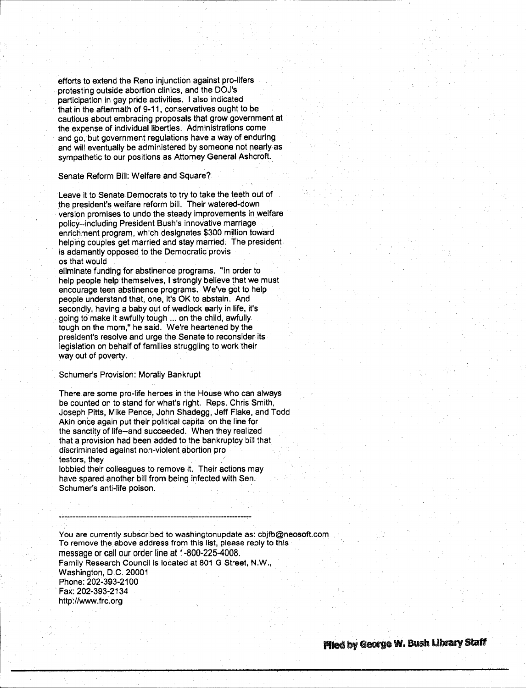efforts to extend the Reno injunction against pro-lifers protesting outside abortion clinics, and the DOJ's participation in gay pride activities. I also indicated that in the aftermath of 9-11, conservatives ought to be cautious about embracing proposals that grow government at the expense of individual liberties. Administrations come and go, but government regulations have a way of enduring and will eventually be administered by someone not nearly as sympathetic to our positions as Attorney General Ashcroft.

Senate Reform Bill: Welfare and Square?

1----

Leave it to Senate Democrats to try to take the teeth out of the president's welfare reform bill. Their watered-down version promises to undo the steady improvements in welfare policy--including President Bush's innovative marriage enrichment program, which designates \$300 million toward helping couples get married and stay married. The president is adamantly opposed to the Democratic provis os that would

eliminate funding for abstinence programs. "In order to help people help themselves, I strongly believe that we must encourage teen abstinence programs. We've got to help people understand that, one, it's OK to abstain. And secondly, having a baby out of wedlock early in life, it's going to make it awfully tough ... on the child, awfully tough on the mom," he said. We're heartened by the president's resolve and urge the Senate to reconsider its legislation on behalf of families struggling to work their way out of poverty.

#### Schumer's Provision: Morally Bankrupt

There are some pro-life heroes in the House who can always be counted on to stand for what's right. Reps. Chris Smith, Joseph Pitts, Mike Pence, John Shadegg, Jeff Flake, and Todd Akin once again put their political capital on the line for the sanctity of life--and succeeded. When they realized that a provision had been added to the bankruptcy bill that discriminated against non-violent abortion pro testors, they

lobbied their colleagues to remove it. Their actions may have spared another bill from being infected with Sen. Schumer's anti-life poison.

You are currently subscribed to washingtonupdate as: cbjfb@neosoft.com To remove the above address from this list, please reply to this message or call our order line at 1-800-225-4008. Family Research Council is located at 801 G Street, N.W., Washington, D.C. 20001 Phone: 202~393-2100 · Fax: 202-393-2134 http://www. frc. org